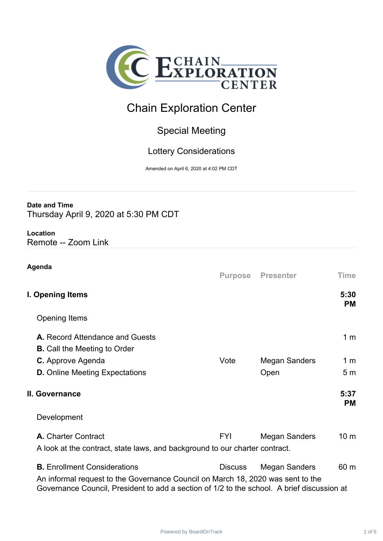

# Chain Exploration Center

## Special Meeting

### Lottery Considerations

Amended on April 6, 2020 at 4:02 PM CDT

#### **Date and Time**

Thursday April 9, 2020 at 5:30 PM CDT

# **Location**

Remote -- Zoom Link

| Agenda                                                                                                                                                                        | <b>Purpose</b> | <b>Presenter</b>     | <b>Time</b>       |
|-------------------------------------------------------------------------------------------------------------------------------------------------------------------------------|----------------|----------------------|-------------------|
| I. Opening Items                                                                                                                                                              |                |                      | 5:30<br><b>PM</b> |
| <b>Opening Items</b>                                                                                                                                                          |                |                      |                   |
| A. Record Attendance and Guests<br><b>B.</b> Call the Meeting to Order                                                                                                        |                |                      | 1 <sub>m</sub>    |
| C. Approve Agenda                                                                                                                                                             | Vote           | <b>Megan Sanders</b> | 1 <sub>m</sub>    |
| <b>D.</b> Online Meeting Expectations                                                                                                                                         |                | Open                 | 5 <sub>m</sub>    |
| II. Governance                                                                                                                                                                |                |                      | 5:37<br><b>PM</b> |
| Development                                                                                                                                                                   |                |                      |                   |
| A. Charter Contract                                                                                                                                                           | <b>FYI</b>     | <b>Megan Sanders</b> | 10 <sub>m</sub>   |
| A look at the contract, state laws, and background to our charter contract.                                                                                                   |                |                      |                   |
| <b>B.</b> Enrollment Considerations                                                                                                                                           | <b>Discuss</b> | <b>Megan Sanders</b> | 60 m              |
| An informal request to the Governance Council on March 18, 2020 was sent to the<br>Governance Council, President to add a section of 1/2 to the school. A brief discussion at |                |                      |                   |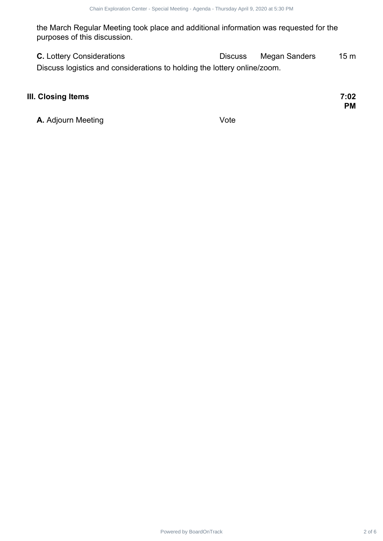the March Regular Meeting took place and additional information was requested for the purposes of this discussion.

**C.** Lottery Considerations **C.** Discuss Megan Sanders 15 m Discuss logistics and considerations to holding the lottery online/zoom.

# **III. Closing Items 7:02 A.** Adjourn Meeting **Vote** Power Contract 2 of 2 of 2 of 2 of 2 6Chain Exploration Center - Special Meeting to 2 of 2 6Chain Exploration Center - Special Meeting to Agenda - Meeting - Meeting - Agenda - Meeting - Agenda - Meeting - Discussion Center

**PM**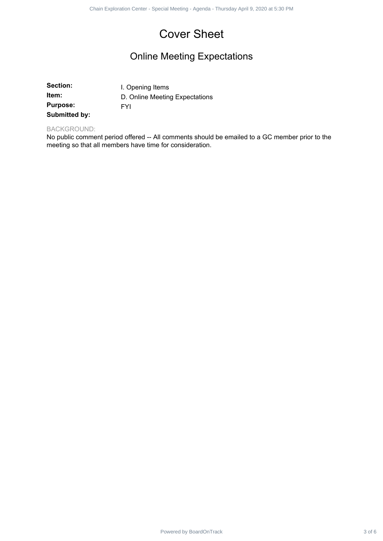# Cover Sheet

## Online Meeting Expectations

|                                                       | Chain Exploration Center - Special Meeting - Agenda - Thursday April 9, 2020 at 5:30 PM                                                                    |        |
|-------------------------------------------------------|------------------------------------------------------------------------------------------------------------------------------------------------------------|--------|
|                                                       | <b>Cover Sheet</b>                                                                                                                                         |        |
|                                                       | <b>Online Meeting Expectations</b>                                                                                                                         |        |
| Section:<br>Item:<br><b>Purpose:</b><br>Submitted by: | I. Opening Items<br>D. Online Meeting Expectations<br><b>FYI</b>                                                                                           |        |
| <b>BACKGROUND:</b>                                    | No public comment period offered -- All comments should be emailed to a GC member prior to the<br>meeting so that all members have time for consideration. |        |
|                                                       |                                                                                                                                                            |        |
|                                                       |                                                                                                                                                            |        |
|                                                       |                                                                                                                                                            |        |
|                                                       |                                                                                                                                                            |        |
|                                                       |                                                                                                                                                            |        |
|                                                       |                                                                                                                                                            |        |
|                                                       |                                                                                                                                                            |        |
|                                                       |                                                                                                                                                            |        |
|                                                       | Powered by BoardOnTrack                                                                                                                                    | 3 of 6 |

#### BACKGROUND: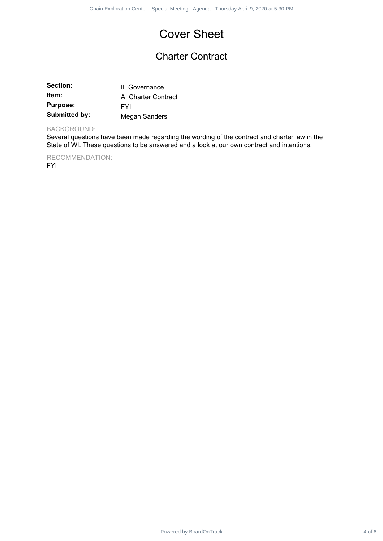# Cover Sheet

## Charter Contract

| Section:             | II. Governance      |
|----------------------|---------------------|
| ltem:                | A. Charter Contract |
| <b>Purpose:</b>      | FYI                 |
| <b>Submitted by:</b> | Megan Sanders       |

#### BACKGROUND:

Several questions have been made regarding the wording of the contract and charter law in the State of WI. These questions to be answered and a look at our own contract and intentions. Power Contract 1 Seast Meeting - Agents Thursday April 9, 2020 at 5:30 PM<br>
COVET Sheet<br>
Charter Contract<br>
I. Given<br>
Power Agent Sanders<br>
Distances<br>
Distances<br>
Distances<br>
Distances<br>
Distances readers made eggading the words

RECOMMENDATION: FYI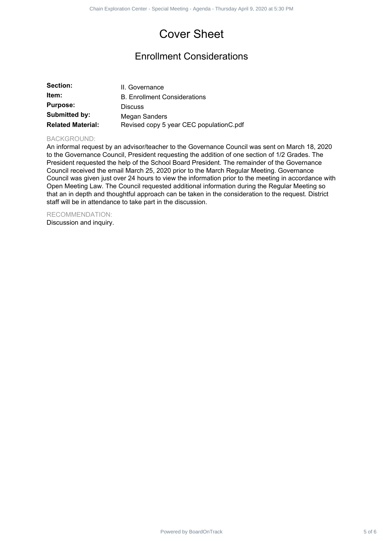# Cover Sheet

## Enrollment Considerations

| Section:                 | II. Governance                          |
|--------------------------|-----------------------------------------|
| ltem:                    | <b>B. Enrollment Considerations</b>     |
| <b>Purpose:</b>          | <b>Discuss</b>                          |
| Submitted by:            | Megan Sanders                           |
| <b>Related Material:</b> | Revised copy 5 year CEC populationC.pdf |

#### BACKGROUND:

An informal request by an advisor/teacher to the Governance Council was sent on March 18, 2020 to the Governance Council, President requesting the addition of one section of 1/2 Grades. The President requested the help of the School Board President. The remainder of the Governance Council received the email March 25, 2020 prior to the March Regular Meeting. Governance Council was given just over 24 hours to view the information prior to the meeting in accordance with Open Meeting Law. The Council requested additional information during the Regular Meeting so that an in depth and thoughtful approach can be taken in the consideration to the request. District staff will be in attendance to take part in the discussion. Power Chain Exploration Center - Special Meeting - Agents - Thursday April 9, 2020<br> **Exploration**<br> **Power Schain Exploration Considerations**<br> **Exploration Considerations**<br> **Exploration Center - Special Meeting - Agents - A** 

RECOMMENDATION: Discussion and inquiry.